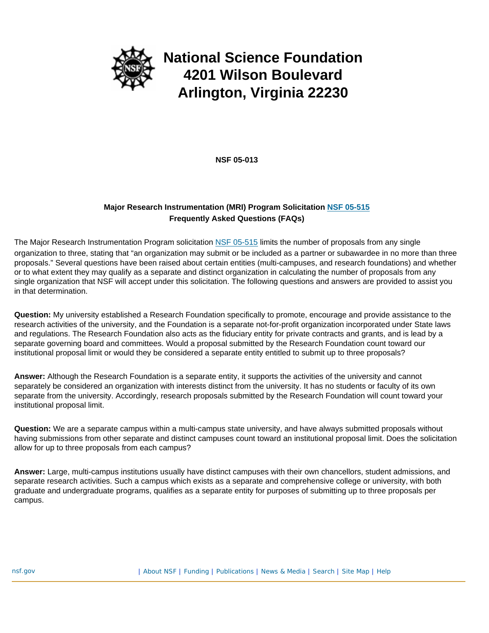

**NSF 05-013**

## **Major Research Instrumentation (MRI) Program Solicitation [NSF 05-515](http://www.nsf.gov/pubsys/ods/getpub.cfm?nsf05515) Frequently Asked Questions (FAQs)**

The Major Research Instrumentation Program solicitation [NSF 05-515](http://www.nsf.gov/pubsys/ods/getpub.cfm?nsf05515) limits the number of proposals from any single organization to three, stating that "an organization may submit or be included as a partner or subawardee in no more than three proposals." Several questions have been raised about certain entities (multi-campuses, and research foundations) and whether or to what extent they may qualify as a separate and distinct organization in calculating the number of proposals from any single organization that NSF will accept under this solicitation. The following questions and answers are provided to assist you in that determination.

**Question:** My university established a Research Foundation specifically to promote, encourage and provide assistance to the research activities of the university, and the Foundation is a separate not-for-profit organization incorporated under State laws and regulations. The Research Foundation also acts as the fiduciary entity for private contracts and grants, and is lead by a separate governing board and committees. Would a proposal submitted by the Research Foundation count toward our institutional proposal limit or would they be considered a separate entity entitled to submit up to three proposals?

**Answer:** Although the Research Foundation is a separate entity, it supports the activities of the university and cannot separately be considered an organization with interests distinct from the university. It has no students or faculty of its own separate from the university. Accordingly, research proposals submitted by the Research Foundation will count toward your institutional proposal limit.

**Question:** We are a separate campus within a multi-campus state university, and have always submitted proposals without having submissions from other separate and distinct campuses count toward an institutional proposal limit. Does the solicitation allow for up to three proposals from each campus?

**Answer:** Large, multi-campus institutions usually have distinct campuses with their own chancellors, student admissions, and separate research activities. Such a campus which exists as a separate and comprehensive college or university, with both graduate and undergraduate programs, qualifies as a separate entity for purposes of submitting up to three proposals per campus.